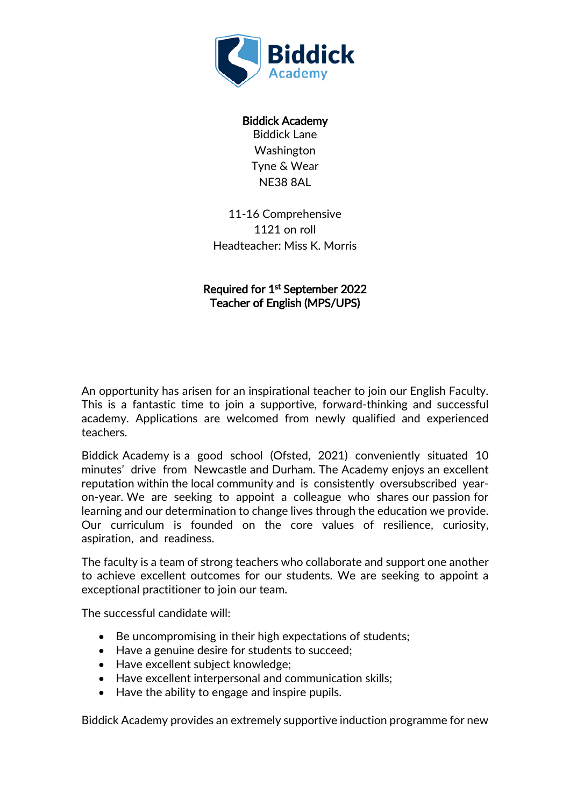

Biddick Academy Biddick Lane Washington Tyne & Wear NE38 8AL

11-16 Comprehensive 1121 on roll Headteacher: Miss K. Morris

Required for 1st September 2022 Teacher of English (MPS/UPS)

An opportunity has arisen for an inspirational teacher to join our English Faculty. This is a fantastic time to join a supportive, forward-thinking and successful academy. Applications are welcomed from newly qualified and experienced teachers.

Biddick Academy is a good school (Ofsted, 2021) conveniently situated 10 minutes' drive from Newcastle and Durham. The Academy enjoys an excellent reputation within the local community and is consistently oversubscribed yearon-year. We are seeking to appoint a colleague who shares our passion for learning and our determination to change lives through the education we provide. Our curriculum is founded on the core values of resilience, curiosity, aspiration, and readiness.

The faculty is a team of strong teachers who collaborate and support one another to achieve excellent outcomes for our students. We are seeking to appoint a exceptional practitioner to join our team.

The successful candidate will:

- Be uncompromising in their high expectations of students;
- Have a genuine desire for students to succeed;
- Have excellent subject knowledge;
- Have excellent interpersonal and communication skills;
- Have the ability to engage and inspire pupils.

Biddick Academy provides an extremely supportive induction programme for new